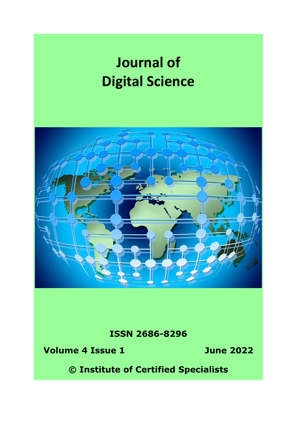# **Journal of Digital Science**



**ISSN 2686-8296**

**Volume 4 Issue 1 June 2022**

**© Institute of Certified Specialists**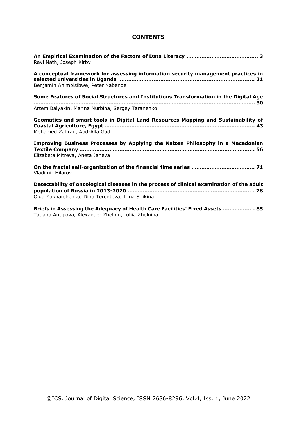## **CONTENTS**

| Ravi Nath, Joseph Kirby                                                                                                                       |
|-----------------------------------------------------------------------------------------------------------------------------------------------|
| A conceptual framework for assessing information security management practices in<br>Benjamin Ahimbisibwe, Peter Nabende                      |
| Some Features of Social Structures and Institutions Transformation in the Digital Age                                                         |
| Artem Balyakin, Marina Nurbina, Sergey Taranenko                                                                                              |
| Geomatics and smart tools in Digital Land Resources Mapping and Sustainability of<br>Mohamed Zahran, Abd-Alla Gad                             |
| Improving Business Processes by Applying the Kaizen Philosophy in a Macedonian<br>Elizabeta Mitreva, Aneta Janeva                             |
| <b>Vladimir Hilarov</b>                                                                                                                       |
| Detectability of oncological diseases in the process of clinical examination of the adult<br>Olga Zakharchenko, Dina Terenteva, Irina Shikina |
|                                                                                                                                               |

**Briefs in Assessing the Adequacy of Health Care Facilities' Fixed Assets …………..…**.**. 85** Tatiana Antipova, Alexander Zhelnin, Iuliia Zhelnina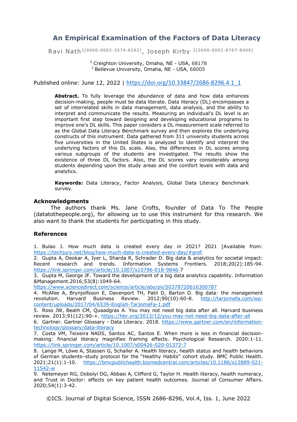# **An Empirical Examination of the Factors of Data Literacy**

Ravi Nath1[0000-0002-3574-6262] , Joseph Kirby 2[0000-0002-8767-8409]

<sup>1</sup> Creighton University, Omaha, NE - USA, 68178 <sup>2</sup> Bellevue University, Omaha, NE - USA, 68005

Published online: June 12, 2022 | [https://doi.org/10.33847/2686-8296.4.1\\_1](https://doi.org/10.33847/2686-8296.4.1_1)

Abstract. To fully leverage the abundance of data and how data enhances decision-making, people must be data literate. Data literacy (DL) encompasses a set of interrelated skills in data management, data analysis, and the ability to interpret and communicate the results. Measuring an individual's DL level is an important first step toward designing and developing educational programs to improve one's DL skills. This paper considers a DL measurement scale referred to as the Global Data Literacy Benchmark survey and then explores the underlying constructs of this instrument. Data gathered from 311 university students across five universities in the United States is analyzed to identify and interpret the underlying factors of this DL scale. Also, the differences in DL scores among various subgroups of the students are investigated. The results show the existence of three DL factors. Also, the DL scores vary considerably among students depending upon the study areas and the comfort levels with data and analytics.

**Keywords:** Data Literacy, Factor Analysis, Global Data Literacy Benchmark survey.

#### **Acknowledgments**

The authors thank Ms. Jane Crofts, founder of Data To The People (datatothepeople.org), for allowing us to use this instrument for this research. We also want to thank the students for participating in this study.

## **References**

1. Bulao J. How much data is created every day in 2021? 2021 [Available from: [https://techjury.net/blog/how-much-data-is-created-every-day/#gref.](https://techjury.net/blog/how-much-data-is-created-every-day/#gref)

2. Gupta A, Deokar A, Iyer L, Sharda R, Schrader D. Big data & analytics for societal impact: Recent research and trends. Information Systems Frontiers. 2018;20(2):185-94. [https://link.springer.com/article/10.1007/s10796-018-9846-7](https://link.springer.com/article/10.1007/s10796-018-9846-)

3. Gupta M, George JF. Toward the development of a big data analytics capability. Information &Management.2016;53(8):1049-64.

<https://www.sciencedirect.com/science/article/abs/pii/S0378720616300787>

4. McAfee A, Brynjolfsson E, Davenport TH, Patil D, Barton D. Big data: the management revolution. Harvard Business Review. 2012;90(10):60-8. [http://tarjomefa.com/wp](http://tarjomefa.com/wp-content/uploads/2017/04/6539-English-TarjomeFa-1.pdf)[content/uploads/2017/04/6539-English-TarjomeFa-1.pdf](http://tarjomefa.com/wp-content/uploads/2017/04/6539-English-TarjomeFa-1.pdf)

5. Ross JW, Beath CM, Quaadgras A. You may not need big data after all. Harvard business review. 2013;91(12):90-+.<https://hbr.org/2013/12/you-may-not-need-big-data-after-all>

6. Gartner. Gartner Glossary - Data Literacy. 2018. [https://www.gartner.com/en/information](https://www.gartner.com/en/information-technology/glossary/data-literacy)[technology/glossary/data-literacy](https://www.gartner.com/en/information-technology/glossary/data-literacy)

7. Costa VM, Teixeira NADS, Santos AC, Santos E. When more is less in financial decisionmaking: financial literacy magnifies framing effects. Psychological Research. 2020:1-11. <https://link.springer.com/article/10.1007/s00426-020-01372-7>

8. Lange M, Löwe A, Stassen G, Schaller A. Health literacy, health status and health behaviors of German students–study protocol for the "Healthy Habits" cohort study. BMC Public Health. 2021;21(1):1-10. [https://bmcpublichealth.biomedcentral.com/articles/10.1186/s12889-021-](https://bmcpublichealth.biomedcentral.com/articles/10.1186/s12889-021-11542-w) [11542-w](https://bmcpublichealth.biomedcentral.com/articles/10.1186/s12889-021-11542-w)

9. Netemeyer RG, Dobolyi DG, Abbasi A, Clifford G, Taylor H. Health literacy, health numeracy, and Trust in Doctor: effects on key patient health outcomes. Journal of Consumer Affairs. 2020;54(1):3-42.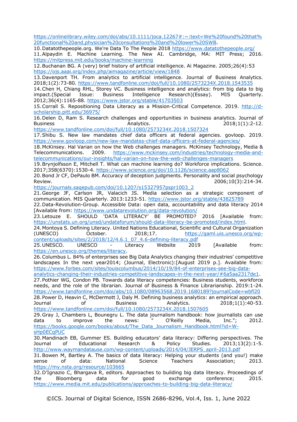[https://onlinelibrary.wiley.com/doi/abs/10.1111/joca.12267#:~:text=We%20found%20that%](https://onlinelibrary.wiley.com/doi/abs/10.1111/joca.12267#:~:text=We%20found%20that%20functional%20and,physician%20consultations%20and%20lower%20SWB) [20functional%20and,physician%20consultations%20and%20lower%20SWB.](https://onlinelibrary.wiley.com/doi/abs/10.1111/joca.12267#:~:text=We%20found%20that%20functional%20and,physician%20consultations%20and%20lower%20SWB)

10.Datatothepeople.org. We're Data To The People 2018<https://www.datatothepeople.org/> 11.Alpaydin E. Machine Learning. The New AI. Cambridge, MA: MIT Press; 2016. <https://mitpress.mit.edu/books/machine-learning>

12.Buchanan BG. A (very) brief history of artificial intelligence. Ai Magazine. 2005;26(4):53 <https://ojs.aaai.org/index.php/aimagazine/article/view/1848>

13.Davenport TH. From analytics to artificial intelligence. Journal of Business Analytics. 2018;1(2):73-80.<https://www.tandfonline.com/doi/full/10.1080/2573234X.2018.1543535>

14.Chen H, Chiang RHL, Storey VC. Business intelligence and analytics: from big data to big impact.(Special Issue: Business Intelligence Research)(Essay). MIS Quarterly. 2012;36(4):1165-88.<https://www.jstor.org/stable/41703503>

15.Corrall S. Repositioning Data Literacy as a Mission-Critical Competence. 2019. [http://d](http://d-scholarship.pitt.edu/36975/)[scholarship.pitt.edu/36975/](http://d-scholarship.pitt.edu/36975/)

16.Delen D, Ram S. Research challenges and opportunities in business analytics. Journal of Business **Analytics.** 2018:1(1):2-12.

<https://www.tandfonline.com/doi/full/10.1080/2573234X.2018.1507324>

17.Shibu S. New law mandates chief data officers at federal agencies. govloop. 2019. <https://www.govloop.com/new-law-mandates-chief-data-officers-at-federal-agencies/>

18.McKinsey. Hal Varian on how the Web challenges managers. McKinsey Technology, Media & Telecommunications. 2009. [https://www.mckinsey.com/industries/technology-media-and](https://www.mckinsey.com/industries/technology-media-and-telecommunications/our-insights/hal-varian-on-how-the-web-challenges-managers)[telecommunications/our-insights/hal-varian-on-how-the-web-challenges-managers](https://www.mckinsey.com/industries/technology-media-and-telecommunications/our-insights/hal-varian-on-how-the-web-challenges-managers)

19.Brynjolfsson E, Mitchell T. What can machine learning do? Workforce implications. Science. 2017;358(6370):1530-4.<https://www.science.org/doi/10.1126/science.aap8062>

20.Bond Jr CF, DePaulo BM. Accuracy of deception judgments. Personality and social psychology Review. 2006;10(3):214-34. [https://journals.sagepub.com/doi/10.1207/s15327957pspr1003\\_2](https://journals.sagepub.com/doi/10.1207/s15327957pspr1003_2)

21.George JF, Carlson JR, Valacich JS. Media selection as a strategic component of communication. MIS Quarterly. 2013:1233-51.<https://www.jstor.org/stable/43825789>

22.Data-Revolution-Group. Accessible Data: open data, accountability and data literacy 2014 [Available from:<https://www.undatarevolution.org/data-revolution/>

23.Letouze E. SHOULD 'DATA LITERACY' BE PROMOTED? 2016 [Available from: [https://unstats.un.org/unsd/undataforum/should-data-literacy-be-promoted/index.html.](https://unstats.un.org/unsd/undataforum/should-data-literacy-be-promoted/index.html)

24.Montoya S. Defining Literacy. United Nations Educational, Scientific and Cultural Organization (UNESCO) October. 2018;17. [https://gaml.uis.unesco.org/wp](https://gaml.uis.unesco.org/wp-content/uploads/sites/2/2018/12/4.6.1_07_4.6-defining-literacy.pdf)[content/uploads/sites/2/2018/12/4.6.1\\_07\\_4.6-defining-literacy.pdf](https://gaml.uis.unesco.org/wp-content/uploads/sites/2/2018/12/4.6.1_07_4.6-defining-literacy.pdf)

25.UNESCO. UNESCO - Literacy Website 2019 [Available from: [https://en.unesco.org/themes/literacy.](https://en.unesco.org/themes/literacy)

26.Columbus L. 84% of enterprises see Big Data Analytics changing their industries' competitive landscapes In the next year2014; (Journal, Electronic):[August 2019 p.]. Available from: [https://www.forbes.com/sites/louiscolumbus/2014/10/19/84-of-enterprises-see-big-data-](https://www.forbes.com/sites/louiscolumbus/2014/10/19/84-of-enterprises-see-big-data-analytics-changing-their-industries-competitive-landscapes-in-the-next-year/#6a5aa2317de1)

[analytics-changing-their-industries-competitive-landscapes-in-the-next-year/#6a5aa2317de1.](https://www.forbes.com/sites/louiscolumbus/2014/10/19/84-of-enterprises-see-big-data-analytics-changing-their-industries-competitive-landscapes-in-the-next-year/#6a5aa2317de1)

27.Pothier WG, Condon PB. Towards data literacy competencies: Business students, workforce needs, and the role of the librarian. Journal of Business & Finance Librarianship. 2019:1-24. <https://www.tandfonline.com/doi/abs/10.1080/08963568.2019.1680189?journalCode=wbfl20> 28.Power D, Heavin C, McDermott J, Daly M. Defining business analytics: an empirical approach. Journal of Business Analytics. 2018;1(1):40-53.

<https://www.tandfonline.com/doi/full/10.1080/2573234X.2018.1507605>

29.Gray J, Chambers L, Bounegru L. The data journalism handbook: how journalists can use data to improve the news: " O'Reilly Media, Inc."; 2012. [https://books.google.com/books/about/The\\_Data\\_Journalism\\_Handbook.html?id=W](https://books.google.com/books/about/The_Data_Journalism_Handbook.html?id=W-sHp0ECqPUC)[sHp0ECqPUC](https://books.google.com/books/about/The_Data_Journalism_Handbook.html?id=W-sHp0ECqPUC)

30.Mandinach EB, Gummer ES. Building educators' data literacy: Differing perspectives. The Journal of Educational Research & Policy Studies. 2013;13(2):1-5. [http://www.waymandatause.com/wp-content/uploads/2014/04/JERPS\\_april-2013.pdf](http://www.waymandatause.com/wp-content/uploads/2014/04/JERPS_april-2013.pdf)

31.Bowen M, Bartley A. The basics of data literacy: Helping your students (and you!) make sense of data: National Science Teachers Association; 2013. <https://my.nsta.org/resource/103665>

32.D'Ignazio C, Bhargava R, editors. Approaches to building big data literacy. Proceedings of Bloomberg data for good exchange conference; 2015. <https://www.media.mit.edu/publications/approaches-to-building-big-data-literacy/>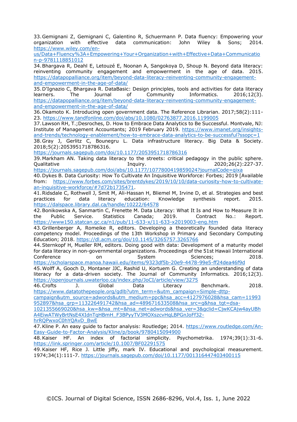33.Gemignani Z, Gemignani C, Galentino R, Schuermann P. Data fluency: Empowering your organization with effective data communication: John Wiley & Sons; 2014. [https://www.wiley.com/en-](https://www.wiley.com/en-us/Data+Fluency%3A+Empowering+Your+Organization+with+Effective+Data+Communication-p-9781118851012)

[us/Data+Fluency%3A+Empowering+Your+Organization+with+Effective+Data+Communicatio](https://www.wiley.com/en-us/Data+Fluency%3A+Empowering+Your+Organization+with+Effective+Data+Communication-p-9781118851012) [n-p-9781118851012](https://www.wiley.com/en-us/Data+Fluency%3A+Empowering+Your+Organization+with+Effective+Data+Communication-p-9781118851012)

34.Bhargava R, Deahl E, Letouzé E, Noonan A, Sangokoya D, Shoup N. Beyond data literacy: reinventing community engagement and empowerment in the age of data. 2015. [https://datapopalliance.org/item/beyond-data-literacy-reinventing-community-engagement](https://datapopalliance.org/item/beyond-data-literacy-reinventing-community-engagement-and-empowerment-in-the-age-of-data/)[and-empowerment-in-the-age-of-data/](https://datapopalliance.org/item/beyond-data-literacy-reinventing-community-engagement-and-empowerment-in-the-age-of-data/)

35.D'Ignazio C, Bhargava R. DataBasic: Design principles, tools and activities for data literacy learners. The Journal of Community Informatics. 2016;12(3). [https://datapopalliance.org/item/beyond-data-literacy-reinventing-community-engagement](https://datapopalliance.org/item/beyond-data-literacy-reinventing-community-engagement-and-empowerment-in-the-age-of-data/)[and-empowerment-in-the-age-of-data/](https://datapopalliance.org/item/beyond-data-literacy-reinventing-community-engagement-and-empowerment-in-the-age-of-data/)

36.Okamoto K. Introducing open government data. The Reference Librarian. 2017;58(2):111- 23.<https://www.tandfonline.com/doi/abs/10.1080/02763877.2016.1199005>

37.Lawson RH, T.;Desroches, D. How to Embrace Data Analytics to Be Successful. Montvale, NJ: Institute of Management Accountants; 2019 February 2019. [https://www.imanet.org/insights](https://www.imanet.org/insights-and-trends/technology-enablement/how-to-embrace-data-analytics-to-be-successful?ssopc=1)[and-trends/technology-enablement/how-to-embrace-data-analytics-to-be-successful?ssopc=1](https://www.imanet.org/insights-and-trends/technology-enablement/how-to-embrace-data-analytics-to-be-successful?ssopc=1)

38.Gray J, Gerlitz C, Bounegru L. Data infrastructure literacy. Big Data & Society. 2018;5(2):2053951718786316.

<https://journals.sagepub.com/doi/10.1177/2053951718786316>

39.Markham AN. Taking data literacy to the streets: critical pedagogy in the public sphere. Qualitative Inquiry. 2020;26(2):227-37. <https://journals.sagepub.com/doi/abs/10.1177/1077800419859024?journalCode=qixa>

40.Dykes B. Data Curiosity: How To Cultivate An Inquisitive Workforce: Forbes; 2019 [Available from: [https://www.forbes.com/sites/brentdykes/2019/10/10/data-curiosity-how-to-cultivate](https://www.forbes.com/sites/brentdykes/2019/10/10/data-curiosity-how-to-cultivate-an-inquisitive-workforce/#7d72b1735471)[an-inquisitive-workforce/#7d72b1735471.](https://www.forbes.com/sites/brentdykes/2019/10/10/data-curiosity-how-to-cultivate-an-inquisitive-workforce/#7d72b1735471)

41.Ridsdale C, Rothwell J, Smit M, Ali-Hassan H, Bliemel M, Irvine D, et al. Strategies and best practices for data literacy education: Knowledge synthesis report. 2015. <https://dalspace.library.dal.ca/handle/10222/64578>

42.Bonikowska A, Sanmartin C, Frenette M. Data Literacy: What It Is and How to Measure It in the Public Service. Statistics Canada; 2019. Contract No.: Report. <https://www150.statcan.gc.ca/n1/pub/11-633-x/11-633-x2019003-eng.htm>

43.Grillenberger A, Romeike R, editors. Developing a theoretically founded data literacy competency model. Proceedings of the 13th Workshop in Primary and Secondary Computing Education; 2018.<https://dl.acm.org/doi/10.1145/3265757.3265766>

44.Sternkopf H, Mueller RM, editors. Doing good with data: Development of a maturity model for data literacy in non-governmental organizations. Proceedings of the 51st Hawaii International Conference on System Sciences; 2018. <https://scholarspace.manoa.hawaii.edu/items/9323df5b-20e9-4478-99e5-ff24dea46f9d>

45.Wolff A, Gooch D, Montaner JJC, Rashid U, Kortuem G. Creating an understanding of data literacy for a data-driven society. The Journal of Community Informatics. 2016;12(3). <https://openjournals.uwaterloo.ca/index.php/JoCI/article/view/3275>

46.Crofts J. Global Data Literacy Benchmark. 2018. [https://www.datatothepeople.org/gdlb?utm\\_term=&utm\\_campaign=Simple-dttp-](https://www.datatothepeople.org/gdlb?utm_term=&utm_campaign=Simple-dttp-campaign&utm_source=adwords&utm_medium=ppc&hsa_acc=4127976028&hsa_cam=11993952897&hsa_grp=113226491742&hsa_ad=489671633508&hsa_src=g&hsa_tgt=dsa-1021355669020&hsa_kw=&hsa_mt=&hsa_net=adwords&hsa_ver=3&gclid=CjwKCAjw4ayUBhA4EiwATWyBrtNsE4XIdnTqHBmH_F3BPyyTV3MOXszcvHqLBPGnJoFf32-hrRQPwxoC0hYQAvD_BwE)

[campaign&utm\\_source=adwords&utm\\_medium=ppc&hsa\\_acc=4127976028&hsa\\_cam=11993](https://www.datatothepeople.org/gdlb?utm_term=&utm_campaign=Simple-dttp-campaign&utm_source=adwords&utm_medium=ppc&hsa_acc=4127976028&hsa_cam=11993952897&hsa_grp=113226491742&hsa_ad=489671633508&hsa_src=g&hsa_tgt=dsa-1021355669020&hsa_kw=&hsa_mt=&hsa_net=adwords&hsa_ver=3&gclid=CjwKCAjw4ayUBhA4EiwATWyBrtNsE4XIdnTqHBmH_F3BPyyTV3MOXszcvHqLBPGnJoFf32-hrRQPwxoC0hYQAvD_BwE) [952897&hsa\\_grp=113226491742&hsa\\_ad=489671633508&hsa\\_src=g&hsa\\_tgt=dsa-](https://www.datatothepeople.org/gdlb?utm_term=&utm_campaign=Simple-dttp-campaign&utm_source=adwords&utm_medium=ppc&hsa_acc=4127976028&hsa_cam=11993952897&hsa_grp=113226491742&hsa_ad=489671633508&hsa_src=g&hsa_tgt=dsa-1021355669020&hsa_kw=&hsa_mt=&hsa_net=adwords&hsa_ver=3&gclid=CjwKCAjw4ayUBhA4EiwATWyBrtNsE4XIdnTqHBmH_F3BPyyTV3MOXszcvHqLBPGnJoFf32-hrRQPwxoC0hYQAvD_BwE)

[1021355669020&hsa\\_kw=&hsa\\_mt=&hsa\\_net=adwords&hsa\\_ver=3&gclid=CjwKCAjw4ayUBh](https://www.datatothepeople.org/gdlb?utm_term=&utm_campaign=Simple-dttp-campaign&utm_source=adwords&utm_medium=ppc&hsa_acc=4127976028&hsa_cam=11993952897&hsa_grp=113226491742&hsa_ad=489671633508&hsa_src=g&hsa_tgt=dsa-1021355669020&hsa_kw=&hsa_mt=&hsa_net=adwords&hsa_ver=3&gclid=CjwKCAjw4ayUBhA4EiwATWyBrtNsE4XIdnTqHBmH_F3BPyyTV3MOXszcvHqLBPGnJoFf32-hrRQPwxoC0hYQAvD_BwE) [A4EiwATWyBrtNsE4XIdnTqHBmH\\_F3BPyyTV3MOXszcvHqLBPGnJoFf32-](https://www.datatothepeople.org/gdlb?utm_term=&utm_campaign=Simple-dttp-campaign&utm_source=adwords&utm_medium=ppc&hsa_acc=4127976028&hsa_cam=11993952897&hsa_grp=113226491742&hsa_ad=489671633508&hsa_src=g&hsa_tgt=dsa-1021355669020&hsa_kw=&hsa_mt=&hsa_net=adwords&hsa_ver=3&gclid=CjwKCAjw4ayUBhA4EiwATWyBrtNsE4XIdnTqHBmH_F3BPyyTV3MOXszcvHqLBPGnJoFf32-hrRQPwxoC0hYQAvD_BwE)

[hrRQPwxoC0hYQAvD\\_BwE](https://www.datatothepeople.org/gdlb?utm_term=&utm_campaign=Simple-dttp-campaign&utm_source=adwords&utm_medium=ppc&hsa_acc=4127976028&hsa_cam=11993952897&hsa_grp=113226491742&hsa_ad=489671633508&hsa_src=g&hsa_tgt=dsa-1021355669020&hsa_kw=&hsa_mt=&hsa_net=adwords&hsa_ver=3&gclid=CjwKCAjw4ayUBhA4EiwATWyBrtNsE4XIdnTqHBmH_F3BPyyTV3MOXszcvHqLBPGnJoFf32-hrRQPwxoC0hYQAvD_BwE)

47. Kline P. An easy guide to factor analysis: Routledge; 2014. [https://www.routledge.com/An-](https://www.routledge.com/An-Easy-Guide-to-Factor-Analysis/Kline/p/book/9780415094900)[Easy-Guide-to-Factor-Analysis/Kline/p/book/9780415094900](https://www.routledge.com/An-Easy-Guide-to-Factor-Analysis/Kline/p/book/9780415094900)

48.Kaiser HF. An index of factorial simplicity. Psychometrika. 1974;39(1):31-6. <https://link.springer.com/article/10.1007/BF02291575>

49.Kaiser HF, Rice J. Little jiffy, mark IV. Educational and psychological measurement. 1974;34(1):111-7.<https://journals.sagepub.com/doi/10.1177/001316447403400115>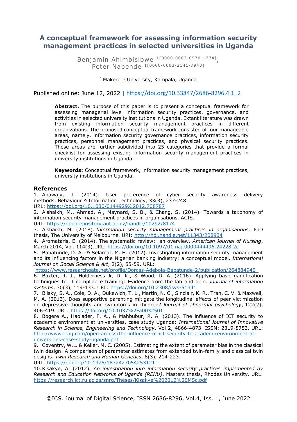## **A conceptual framework for assessing information security management practices in selected universities in Uganda**

Benjamin Ahimbisibwe 1<sup>[0000-0002-0570-1274]</sup>, Peter Nabende 1[ 0000-0003-2141-7940]

<sup>1</sup> Makerere University, Kampala, Uganda

Published online: June 12, 2022 | [https://doi.org/10.33847/2686-8296.4.1\\_2](https://doi.org/10.33847/2686-8296.4.1_2)

**Abstract.** The purpose of this paper is to present a conceptual framework for assessing managerial level information security practices, governance, and activities in selected university institutions in Uganda. Extant literature was drawn from existing information security management practices in different organizations. The proposed conceptual framework consisted of four manageable areas, namely, information security governance practices, information security practices, personnel management practices, and physical security practices. These areas are further subdivided into 25 categories that provide a formal checklist for assessing existing information security management practices in university institutions in Uganda.

**Keywords:** Conceptual framework, information security management practices, university institutions in Uganda.

#### **References**

1. Abawajy, J. (2014). User preference of cyber security awareness delivery methods. Behaviour & Information Technology, 33(3), 237-248. URL:<https://doi.org/10.1080/0144929X.2012.708787>

2. Alshaikh, M., Ahmad, A., Maynard, S. B., & Chang, S. (2014). Towards a taxonomy of information security management practices in organisations. ACIS.

URL:<https://openrepository.aut.ac.nz/handle/10292/8174>

3. Alshaikh, M. (2018). *Information security management practices in organisations*. PhD thesis, The University of Melbourne. URI:<http://hdl.handle.net/11343/208934>

4. Aromataris, E. (2014). The systematic review: an overview. *American Journal of Nursing*, March 2014, Vol. 114(3).URL:<https://doi.org/10.1097/01.naj.0000444496.24228.2c>

5. Babatunde, D. A., & Selamat, M. H. (2012). Investigating information security management and its influencing factors in the Nigerian banking industry: a conceptual model. *International Journal on Social Science & Art*, 2(2), 55-59. URL:

[https://www.researchgate.net/profile/Dorcas-Adebola-Babatunde-2/publication/264884940\\_](https://www.researchgate.net/profile/Dorcas-Adebola-Babatunde-2/publication/264884940_)

6. Baxter, R. J., Holderness Jr, D. K., & Wood, D. A. (2016). Applying basic gamification techniques to IT compliance training: Evidence from the lab and field. *Journal of information systems*, 30(3), 119-133. URL:<https://doi.org/10.2308/isys-51341>

7. Bilsky, S. A., Cole, D. A., Dukewich, T. L., Martin, N. C., Sinclair, K. R., Tran, C. V. & Maxwell, M. A. (2013). Does supportive parenting mitigate the longitudinal effects of peer victimization on depressive thoughts and symptoms in children? *Journal of abnormal psychology*, 122(2), 406-419. URL:<https://doi.org/10.1037%2Fa0032501>

8. Bogere A., Haolader, F. A., & Mahbubur, R. A. (2013). The influence of ICT security to academic environment at universities, case study Uganda: *International Journal of Innovative Research in Science, Engineering and Technology*, Vol 2, 4866-4873. ISSN: 2319-8753. URL: [http://www.rroij.com/open-access/the-influence-of-ict-security-to-academicenvironment-at](http://www.rroij.com/open-access/the-influence-of-ict-security-to-academicenvironment-at-universities-case-study-uganda.pdf)[universities-case-study-uganda.pdf](http://www.rroij.com/open-access/the-influence-of-ict-security-to-academicenvironment-at-universities-case-study-uganda.pdf)

9. Coventry, W.L. & Keller, M. C. (2005). Estimating the extent of parameter bias in the classical twin design: A comparison of parameter estimates from extended twin-family and classical twin designs. *Twin Research and Human Genetics*, 8(3), 214-223. URL:<https://doi.org/10.1375/1832427054253121>

10.Kisakye, A. (2012). *An investigation into information security practices implemented by Research and Education Networks of Uganda (RENU)*. Masters thesis, Rhodes University. URL: <https://research.ict.ru.ac.za/snrg/Theses/Kisakye%202012%20MSc.pdf>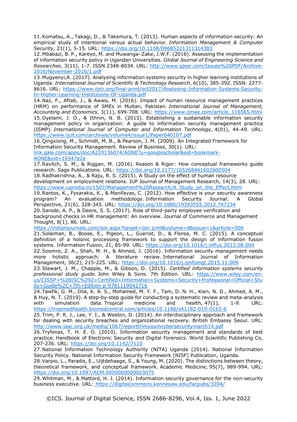11.Komatsu, A., Takagi, D., & Takemura, T. (2013). Human aspects of information security: An empirical study of intentional versus actual behavior. *Information Management & Computer Security*, 21(1), 5-15. URL:<https://doi.org/10.1108/09685221311314383>

12.Mbabazi, B. P., Kareyo, M. and Muwanga–Zake, J.W.F. (2016). Assessing the implementation of information security policy in Ugandan Universities. *Global Journal of Engineering Science and Researches*, 3(11), 1-7. ISSN 2348-8034. URL: [http://www.gjesr.com/Issues%20PDF/Archive-](http://www.gjesr.com/Issues%20PDF/Archive-2016/November-2016/1.pdf)[2016/November-2016/1.pdf](http://www.gjesr.com/Issues%20PDF/Archive-2016/November-2016/1.pdf)

13.Mugyenyi,R. (2017). Analysing information systems security in higher learning institutions of Uganda. *International Journal of Scientific & Technology Research*, 6(10), 385-392. ISSN: 2277- 8616. URL: [https://www.ijstr.org/final-print/oct2017/Analysing-Information-Systems-Security-](https://www.ijstr.org/final-print/oct2017/Analysing-Information-Systems-Security-In-Higher-Learning-Institutions-Of-Uganda.pdf)[In-Higher-Learning-Institutions-Of-Uganda.pdf](https://www.ijstr.org/final-print/oct2017/Analysing-Information-Systems-Security-In-Higher-Learning-Institutions-Of-Uganda.pdf)

14.Naz, F., Aftab, J., & Awais, M. (2016). Impact of human resource management practices (HRM) on performance of SMEs in Multan, Pakistan. *International Journal of Management, Accounting and Economics*, 3(11), 699-708. URL: [https://www.ijmae.com/article\\_116565.html](https://www.ijmae.com/article_116565.html) 15.Oyelami, J. O., & Ithnin, N. B. (2015). Establishing a sustainable information security management policy in organization: A guide to information security management practice (ISMP). *International Journal of Computer and Information Technology*, 4(01), 44-49. URL: <https://www.ijcit.com/archives/volume4/issue1/Paper040107.pdf>

16.Qingxiong, M., Schmidt, M. B., & Pearson, J. M. (2009). An Integrated Framework for Information Security Management. Review of Business, 30(1). URL:

link.gale.com/apps/doc/A220136074/AONE?u=googlescholar&sid=bookmark-AONE&xid=19347e2e

17.Ravitch, S. M., & Riggan, M. (2016). Reason & Rigor: How conceptual frameworks guide research. Sage Publications. URL: [https://doi.org/10.1177/105268461602600504](https://doi.org/10.1177%2F105268461602600504)

18.Radhakrishna, A., & Raju, R. S. (2015). A Study on the effect of human resource development on employment relations. IUP Journal of Management Research, 14(3), 28. URL: [https://www.iupindia.in/1507/Management%20Research/A\\_Study\\_on\\_the\\_Effect.html](https://www.iupindia.in/1507/Management%20Research/A_Study_on_the_Effect.html)

19.Rantos, K., Fysarakis, K., & Manifavas, C. (2012). How effective is your security awareness program? An evaluation methodology. Information Security Journal: A Global Perspective, 21(6), 328-345. URL:<https://doi.org/10.1080/19393555.2012.747234>

20.Sarode, A. P., & Deore, S. S. (2017). Role of third-party employee verification and background checks in HR management: An overview. Journal of Commerce and Management Thought, 8(1), 86. URL:

<https://indianjournals.com/ijor.aspx?target=ijor:jcmt&volume=8&issue=1&article=006>

21.Solaiman, B., Bosse, E., Pigeon, L., Gueriot, D., & Florea, M. C. (2015). A conceptual definition of a holonic processing framework to support the design of information fusion systems. Information Fusion, 21, 85-99. URL:<https://doi.org/10.1016/j.inffus.2013.08.004>

22.Soomro, Z. A., Shah, M. H., & Ahmed, J. (2016). Information security management needs more holistic approach: A literature review. International Journal of Information Management, 36(2), 215-225. URL:<https://doi.org/10.1016/j.ijinfomgt.2015.11.009>

23.Stewart, J. M., Chapple, M., & Gibson, D. (2015). *Certified information systems security professional study guide.* John Wiley & Sons. 7th Edition. URL: [https://www.wiley.com/en](https://www.wiley.com/en-us/CISSP+%28ISC%292+Certified+Information+Systems+Security+Professional+Official+Study+Guide%2C+7th+Edition-p-9781119042716)[us/CISSP+%28ISC%292+Certified+Information+Systems+Security+Professional+Official+Stu](https://www.wiley.com/en-us/CISSP+%28ISC%292+Certified+Information+Systems+Security+Professional+Official+Study+Guide%2C+7th+Edition-p-9781119042716) [dy+Guide%2C+7th+Edition-p-9781119042716](https://www.wiley.com/en-us/CISSP+%28ISC%292+Certified+Information+Systems+Security+Professional+Official+Study+Guide%2C+7th+Edition-p-9781119042716)

24.Tawfik, G. M., Dila, K. A. S., Mohamed, M. Y. F., Tam, D. N. H., Kien, N. D., Ahmed, A. M., & Huy, N. T. (2019). A step-by-step guide for conducting a systematic review and meta-analysis with simulation data. Tropical medicine and health, 47(1), 1-9. URL: <https://tropmedhealth.biomedcentral.com/articles/10.1186/s41182-019-0165-6>

25.Trim, P. R. J., Lee, Y. I., & Weston, D. (2014). An interdisciplinary approach and framework for dealing with security breaches and organizational recovery. British Embassy Seoul. URL: <http://www.iaac.org.uk/media/1067/reporttrimyoumcybersecuritymarch14.pdf>

26.Tryfonas, T. H. E. O. (2010). Information security management and standards of best practice. Handbook of Electronic Security and Digital Forensics. World Scientific Publishing Co, 207-236. URL:<https://doi.org/10.1142/7110>

27.National Information Technology Authority (NITA) Uganda (2014). National Information Security Policy. National Information Security Framework (NISF) Publication, Uganda.

28.Varpio, L., Paradis, E., Uijtdehaage, S., & Young, M. (2020). The distinctions between theory, theoretical framework, and conceptual framework. Academic Medicine, 95(7), 989-994. URL: <https://doi.org/10.1097/ACM.0000000000003075>

29.Whitman, M., & Mattord, H. J. (2014). Information security governance for the non-security business executive. URL: <https://digitalcommons.kennesaw.edu/facpubs/3204/>

©ICS. Journal of Digital Science, ISSN 2686-8296, Vol.4, Iss. 1, June 2022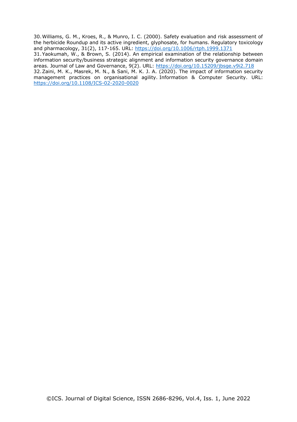30.Williams, G. M., Kroes, R., & Munro, I. C. (2000). Safety evaluation and risk assessment of the herbicide Roundup and its active ingredient, glyphosate, for humans. Regulatory toxicology and pharmacology, 31(2), 117-165. URL:<https://doi.org/10.1006/rtph.1999.1371> 31.Yaokumah, W., & Brown, S. (2014). An empirical examination of the relationship between information security/business strategic alignment and information security governance domain areas. Journal of Law and Governance,  $9(2)$ . URL:<https://doi.org/10.15209/jbsge.v9i2.718> 32.Zaini, M. K., Masrek, M. N., & Sani, M. K. J. A. (2020). The impact of information security management practices on organisational agility. Information & Computer Security. URL: <https://doi.org/10.1108/ICS-02-2020-0020>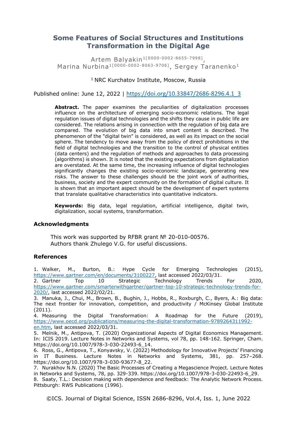## **Some Features of Social Structures and Institutions Transformation in the Digital Age**

Artem Balyakin1[0000-0002-8655-7998] , Marina Nurbina<sup>1[0000-0002-8063-9706]</sup>, Sergey Taranenko<sup>1</sup>

## <sup>1</sup> NRC Kurchatov Institute, Moscow, Russia

Published online: June 12, 2022 | [https://doi.org/10.33847/2686-8296.4.1\\_3](https://doi.org/10.33847/2686-8296.4.1_3)

Abstract. The paper examines the peculiarities of digitalization processes influence on the architecture of emerging socio-economic relations. The legal regulation issues of digital technologies and the shifts they cause in public life are considered. The relations arising in connection with the regulation of big data are compared. The evolution of big data into smart content is described. The phenomenon of the "digital twin" is considered, as well as its impact on the social sphere. The tendency to move away from the policy of direct prohibitions in the field of digital technologies and the transition to the control of physical entities (data centers) and the regulation of methods and approaches to data processing (algorithms) is shown. It is noted that the existing expectations from digitalization are overstated. At the same time, the increasing influence of digital technologies significantly changes the existing socio-economic landscape, generating new risks. The answer to these challenges should be the joint work of authorities, business, society and the expert community on the formation of digital culture. It is shown that an important aspect should be the development of expert systems that translate qualitative characteristics into quantitative indicators.

**Keywords:** Big data, legal regulation, artificial intelligence, digital twin, digitalization, social systems, transformation.

## **Acknowledgments**

This work was supported by RFBR grant № 20-010-00576. Authors thank Zhulego V.G. for useful discussions.

## **References**

1. Walker, M., Burton, B.: Hype Cycle for Emerging Technologies (2015), [https://www.gartner.com/en/documents/3100227,](https://www.gartner.com/en/documents/3100227) last accessed 2022/03/31.

2. Gartner Top 10 Strategic Technology Trends For 2020, [https://www.gartner.com/smarterwithgartner/gartner-top-10-strategic-technology-trends-for-](https://www.gartner.com/smarterwithgartner/gartner-top-10-strategic-technology-trends-for-2020/)[2020/,](https://www.gartner.com/smarterwithgartner/gartner-top-10-strategic-technology-trends-for-2020/) last accessed 2022/02/21.

3. Manuka, J., Chui, M., Brown, B., Bughin, J., Hobbs, R., Roxburgh, C., Byers, A.: Big data: The next frontier for innovation, competition, and productivity  $/$  McKinsey Global Institute (2011).

4. Measuring the Digital Transformation: A Roadmap for the Future (2019), [https://www.oecd.org/publications/measuring-the-digital-transformation-9789264311992](https://www.oecd.org/publications/measuring-the-digital-transformation-9789264311992-en.htm) [en.htm,](https://www.oecd.org/publications/measuring-the-digital-transformation-9789264311992-en.htm) last accessed 2022/03/31.

5. Melnik, M., Antipova, T. (2020) Organizational Aspects of Digital Economics Management. In: ICIS 2019. Lecture Notes in Networks and Systems, vol 78, pp. 148-162. Springer, Cham. https://doi.org/10.1007/978-3-030-22493-6\_14.

6. Ross, G., Antipova, T., Konyavsky, V. (2022) Methodology for Innovative Projects' Financing in IT Business. Lecture Notes in Networks and Systems, 381, pp. 257–268. https://doi.org/10.1007/978-3-030-93677-8\_22.

7. Nurakhov N.N. (2020) The Basic Processes of Creating a Megascience Project. Lecture Notes in Networks and Systems, 78, pp. 329-339. https://doi.org/10.1007/978-3-030-22493-6\_29.

8. Saaty, T.L.: Decision making with dependence and feedback: The Analytic Network Process. Pittsburgh: RWS Publications (1996).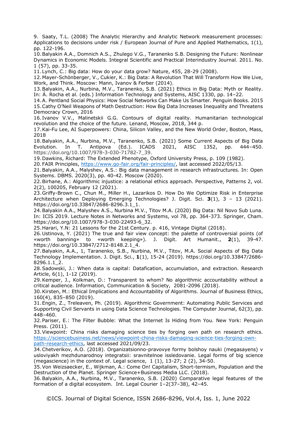9. Saaty, T.L. (2008) The Analytic Hierarchy and Analytic Network measurement processes: Applications to decisions under risk / European Journal of Pure and Applied Mathematics, 1(1), pp. 122-196.

10.Balyakin A.A., Domnich A.S., Zhulego V.G., Taranenko S.B. Designing the Future: Nonlinear Dynamics in Economic Models. Integral Scientific and Practical Interindustry Journal. 2011. No. 1 (57), pp. 33-35.

11.Lynch, C.: Big data: How do your data grow? Nature, 455, 28-29 (2008).

12.Mayer-Schönberger, V., Cukier, K.: Big Data: A Revolution That Will Transform How We Live, Work, and Think. Moscow: Mann, Ivanov & Ferber (2014).

13.Balyakin, A.A., Nurbina, M.V., Taranenko, S.B. (2021) Ethics in Big Data: Myth or Reality. In: Á. Rocha et al. (eds.) Information Technology and Systems, AISC 1330, pp. 14–22.

14.A. Pentland Social Physics: How Social Networks Can Make Us Smarter. Penguin Books. 2015 15.Cathy O'Neil Weapons of Math Destruction: How Big Data Increases Inequality and Threatens Democracy Crown, 2016

16. Ivanov V.V., Malinetskii G.G. Contours of digital reality. Humanitarian technological revolution and the choice of the future. Lenand, Moscow, 2018, 344 p.

17.Kai-Fu Lee, AI Superpowers: China, Silicon Valley, and the New World Order, Boston, Mass, 2018

18.Balyakin, A.A., Nurbina, M.V., Taranenko, S.B. (2021) Some Current Aspects of Big Data Evolution. In T. Antipova (Ed.). ICADS 2021, AISC 1352, pp. 444–450. https://doi.org/10.1007/978-3-030-71782-7\_39.

19.Dawkins, Richard: The Extended Phenotype, Oxford University Press, p. 109 (1982).

20.FAIR Principles, [https://www.go-fair.org/fair-principles/,](https://www.go-fair.org/fair-principles/) last accessed 2022/05/13.

21.Balyakin, A.A., Malyshev, A.S.: Big data management in research infrastructures. In: Open Systems. DBMS. 2020(3), pp. 40-42. Moscow (2020).

22.Birhane, A.: Algorithmic injustice: a relational ethics approach. Perspective, Patterns 2, vol. 2(2), 100205, February 12 (2021).

23.Griffy-Brown C., Chun M., Miller H., Lazarikos D. How Do We Optimize Risk in Enterprise Architecture when Deploying Emerging Technologies? J. Digit. Sci. **3**(1), 3 – 13 (2021). https://doi.org/10.33847/2686-8296.3.1\_1.

24.Balyakin A.A., Malyshev A.S., Nurbina M.V., Titov M.A. (2020) Big Data: Nil Novo Sub Luna. In: ICIS 2019. Lecture Notes in Networks and Systems, vol 78, pp. 364-373. Springer, Cham. https://doi.org/10.1007/978-3-030-22493-6\_32.

25.Harari, Y.N: 21 Lessons for the 21st Century. p. 416, Vintage Digital (2018).

26.Ustinova, Y. (2021) The true and fair view concept: the palette of controversial points (of «worth banning» to «worth keeping»). J. Digit. Art Humanit., **2**(1), 39-47. https://doi.org/10.33847/2712-8148.2.1\_4.

27.Balyakin, A.A., 1, Taranenko, S.B., Nurbina, M.V., Titov, M.A. Social Aspects of Big Data Technology Implementation. J. Digit. Sci., **1**(1), 15-24 (2019). https://doi.org/10.33847/2686- 8296.1.1\_2.

28.Sadowski, J.: When data is capital: Datafication, accumulation, and extraction. Research Article, 6(1), 1-12 (2019).

29.Kemper, J., Kolkman, D.: Transparent to whom? No algorithmic accountability without a critical audience. Information, Communication & Society, 2081-2096 (2018).

30.Kirsten, M.: Ethical Implications and Accountability of Algorithms. Journal of Business Ethics, 160(4), 835–850 (2019).

31.Engin, Z., Treleaven, Ph. (2019). Algorithmic Government: Automating Public Services and Supporting Civil Servants in using Data Science Technologies. The Computer Journal, 62(3), pp. 448–460.

32.Pariser, E.: The Filter Bubble: What the Internet Is Hiding from You. New York: Penguin Press. (2011).

33.Viewpoint: China risks damaging science ties by forging own path on research ethics. [https://sciencebusiness.net/news/viewpoint-china-risks-damaging-science-ties-forging-own](https://sciencebusiness.net/news/viewpoint-china-risks-damaging-science-ties-forging-own-path-research-ethics)[path-research-ethics,](https://sciencebusiness.net/news/viewpoint-china-risks-damaging-science-ties-forging-own-path-research-ethics) last accessed 2021/09/23.

34.Chetverikov, A.O. (2018). Organizatsionno-pravovye formy bolshoy nauki (megasayens) v usloviyakh mezhdunarodnoy integratsii: sravnitelnoe issledovanie. Legal forms of big science (megascience) in the context of. Legal science, 1 (1), 13-27; 2 (2), 34-50.

35.Von Weizsaecker, E., Wijkman, A.: Come On! Capitalism, Short-termism, Population and the Destruction of the Planet. Springer Science+Business Media LLC. (2018).

36.Balyakin, A.A., Nurbina, M.V., Taranenko, S.B. (2020) Comparative legal features of the formation of a digital ecosystem. Int. Legal Courier 1–2(37–38), 42–45.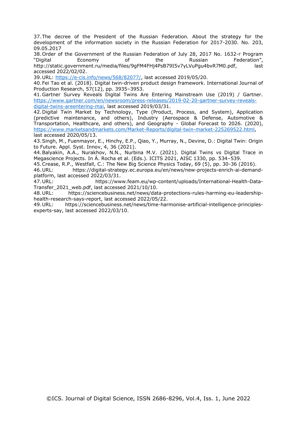37.The decree of the President of the Russian Federation. About the strategy for the development of the information society in the Russian Federation for 2017-2030. No. 203, 09.05.2017

38.Order of the Government of the Russian Federation of July 28, 2017 No. 1632-r Program "Digital Economy of the Russian Federation", http://static.government.ru/media/files/9gFM4FHj4PsB79I5v7yLVuPgu4bvR7M0.pdf, last accessed 2022/02/02.

39.URL: [https://e-cis.info/news/568/82077/,](https://e-cis.info/news/568/82077/) last accessed 2019/05/20.

40.Fei Tao et al. (2018). Digital twin-driven product design framework. International Journal of Production Research, 57(12), pp. 3935–3953.

41.Gartner Survey Reveals Digital Twins Are Entering Mainstream Use (2019) / Gartner. [https://www.gartner.com/en/newsroom/press-releases/2019-02-20-gartner-survey-reveals](https://www.gartner.com/en/newsroom/press-releases/2019-02-20-gartner-survey-reveals-digital-twins-areentering-mai)[digital-twins-areentering-mai,](https://www.gartner.com/en/newsroom/press-releases/2019-02-20-gartner-survey-reveals-digital-twins-areentering-mai) last accessed 2019/03/31.

42.Digital Twin Market by Technology, Type (Product, Process, and System), Application (predictive maintenance, and others), Industry (Aerospace & Defense, Automotive & Transportation, Healthcare, and others), and Geography - Global Forecast to 2026. (2020), [https://www.marketsandmarkets.com/Market-Reports/digital-twin-market-225269522.html,](https://www.marketsandmarkets.com/Market-Reports/digital-twin-market-225269522.html) last accessed 2020/05/13.

43.Singh, M., Fuenmayor, E., Hinchy, E.P., Qiao, Y., Murray, N., Devine, D.: Digital Twin: Origin to Future. Appl. Syst. Innov, 4, 36 (2021).

44.Balyakin, A.A., Nurakhov, N.N., Nurbina M.V. (2021). Digital Twins vs Digital Trace in Megascience Projects. In Á. Rocha et al. (Eds.). ICITS 2021, AISC 1330, pp. 534–539.

45.Crease, R.P., Westfall, C.: The New Big Science Physics Today, 69 (5), pp. 30-36 (2016).

46.URL: [https://digital-strategy.ec.europa.eu/en/news/new-projects-enrich-ai-demand](https://digital-strategy.ec.europa.eu/en/news/new-projects-enrich-ai-demand-platform)[platform,](https://digital-strategy.ec.europa.eu/en/news/new-projects-enrich-ai-demand-platform) last accessed 2022/03/31.

47.URL: https://www.feam.eu/wp-content/uploads/International-Health-Data-Transfer\_2021\_web.pdf, last accessed 2021/10/10.

48.URL: https://sciencebusiness.net/news/data-protections-rules-harming-eu-leadershiphealth-research-says-report, last accessed 2022/05/22.

49.URL: [https://sciencebusiness.net/news/time-harmonise-artificial-intelligence-principles](https://sciencebusiness.net/news/time-harmonise-artificial-intelligence-principles-experts-say)[experts-say,](https://sciencebusiness.net/news/time-harmonise-artificial-intelligence-principles-experts-say) last accessed 2022/03/10.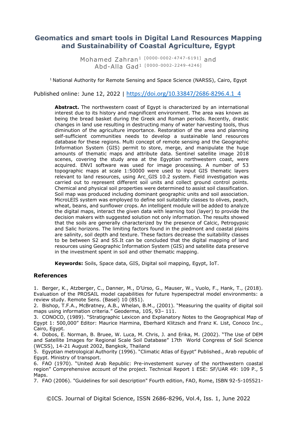## **Geomatics and smart tools in Digital Land Resources Mapping and Sustainability of Coastal Agriculture, Egypt**

Mohamed Zahran<sup>1</sup> [0000-0002-4747-6191] and Abd-Alla Gad<sup>1</sup> [0000-0002-2249-4246]

 $1$  National Authority for Remote Sensing and Space Science (NARSS), Cairo, Egypt

Published online: June 12, 2022 | [https://doi.org/10.33847/2686-8296.4.1\\_4](https://doi.org/10.33847/2686-8296.4.1_4)

**Abstract.** The northwestern coast of Egypt is characterized by an international interest due to its history and magnificent environment. The area was known as being the bread basket during the Greek and Roman periods. Recently, drastic changes in land use resulting in destructing many of water harvesting tools, thus diminution of the agriculture importance. Restoration of the area and planning self-sufficient communities needs to develop a sustainable land resources database for these regions. Multi concept of remote sensing and the Geographic Information System (GIS) permit to store, merge, and manipulate the huge amounts of thematic maps and attribute data. Sentinel satellite image 2018 scenes, covering the study area at the Egyptian northwestern coast, were acquired. ENVI software was used for image processing. A number of 53 topographic maps at scale 1:50000 were used to input GIS thematic layers relevant to land resources, using Arc\_GIS 10.2 system. Field investigation was carried out to represent different soil units and collect ground control points. Chemical and physical soil properties were determined to assist soil classification. Soil map was produced including dominant geographic units and soil association. MicroLEIS system was employed to define soil suitability classes to olives, peach, wheat, beans, and sunflower crops. An intelligent module will be added to analyze the digital maps, interact the given data with learning tool (layer) to provide the decision makers with suggested solution not only information. The results showed that the soils are generally characterized by the presence of Calcic, Petrogypsic and Salic horizons. The limiting factors found in the piedmont and coastal plains are salinity, soil depth and texture. These factors decrease the suitability classes to be between S2 and S5.It can be concluded that the digital mapping of land resources using Geographic Information System (GIS) and satellite data preserve in the investment spent in soil and other thematic mapping.

**Keywords:** Soils, Space data, GIS, Digital soil mapping, Egypt, IoT.

## **References**

1. Berger, K., Atzberger, C., Danner, M., D'Urso, G., Mauser, W., Vuolo, F., Hank, T., (2018). Evaluation of the PROSAIL model capabilities for future hyperspectral model environments: a review study. Remote Sens. (Basel) 10 (851).

2. Bishop, T.F.A., McBratney, A.B., Whelan, B.M., (2001). "Measuring the quality of digital soil maps using information criteria." Geoderma, 105, 93– 111.

3. CONOCO, (1989). "Stratigraphic Lexicon and Explanatory Notes to the Geographical Map of Egypt 1: 500,000" Editor: Maurice Harmina, Eberhard Klitzsch and Franz K. List, Conoco Inc., Cairo, Egypt.

4. Dobos, E. Norman, B. Bruee, W. Luca, M. Chris, J. and Erika, M. (2002). "The Use of DEM and Satellite Images for Regional Scale Soil Database" 17th World Congress of Soil Science (WCSS), 14-21 August 2002, Bangkok, Thailand

5. Egyptian metrological Authority (1996). "Climatic Atlas of Egypt" Published., Arab republic of Egypt. Ministry of transport.

6. FAO (1970). "United Arab Republic: Pre-investement survey of the northwestern coastal region" Comprehensive account of the project. Technical Report 1 ESE: SF/UAR 49: 109 P., 5 Maps.

7. FAO (2006). "Guidelines for soil description" Fourth edition, FAO, Rome, ISBN 92-5-105521-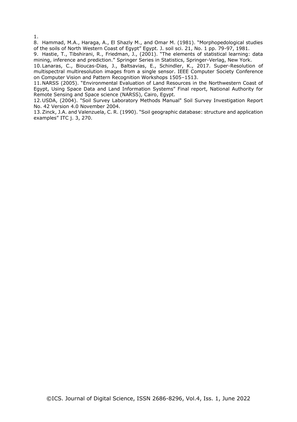1.

8. Hammad, M.A., Haraga, A., El Shazly M., and Omar M. (1981). "Morphopedological studies of the soils of North Western Coast of Egypt" Egypt. J. soil sci. 21, No. 1 pp. 79-97, 1981.

9. Hastie, T., Tibshirani, R., Friedman, J., (2001). "The elements of statistical learning: data mining, inference and prediction." Springer Series in Statistics, Springer-Verlag, New York.

10.Lanaras, C., Bioucas-Dias, J., Baltsavias, E., Schindler, K., 2017. Super-Resolution of multispectral multiresolution images from a single sensor. IEEE Computer Society Conference on Computer Vision and Pattern Recognition Workshops 1505–1513.

11.NARSS (2005). "Environmental Evaluation of Land Resources in the Northwestern Coast of Egypt, Using Space Data and Land Information Systems" Final report, National Authority for Remote Sensing and Space science (NARSS), Cairo, Egypt.

12.USDA, (2004). "Soil Survey Laboratory Methods Manual" Soil Survey Investigation Report No. 42 Version 4.0 November 2004.

13.Zinck, J.A. and Valenzuela, C. R. (1990). "Soil geographic database: structure and application examples" ITC j. 3, 270.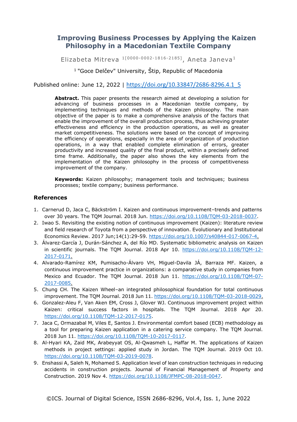## **Improving Business Processes by Applying the Kaizen Philosophy in a Macedonian Textile Company**

Elizabeta Mitreva  $1[0000-0002-1816-2185]$ , Aneta Janeva<sup>1</sup>

<sup>1</sup> "Goce Delčev" University, Štip, Republic of Macedonia

Published online: June 12, 2022 | [https://doi.org/10.33847/2686-8296.4.1\\_5](https://doi.org/10.33847/2686-8296.4.1_5)

**Abstract.** This paper presents the research aimed at developing a solution for advancing of business processes in a Macedonian textile company, by implementing techniques and methods of the Kaizen philosophy. The main objective of the paper is to make a comprehensive analysis of the factors that enable the improvement of the overall production process, thus achieving greater effectiveness and efficiency in the production operations, as well as greater market competitiveness. The solutions were based on the concept of improving the efficiency of operations, especially in the area of organization of production operations, in a way that enabled complete elimination of errors, greater productivity and increased quality of the final product, within a precisely defined time frame. Additionally, the paper also shows the key elements from the implementation of the Kaizen philosophy in the process of competitiveness improvement of the company.

**Keywords:** Kaizen philosophy; management tools and techniques; business processes; textile company; business performance.

## **References**

- 1. Carnerud D, Jaca C, Bäckström I. Kaizen and continuous improvement–trends and patterns over 30 years. The TQM Journal. 2018 Jun. [https://doi.org/10.1108/TQM-03-2018-0037.](https://doi.org/10.1108/TQM-03-2018-0037)
- 2. Iwao S. Revisiting the existing notion of continuous improvement (Kaizen): literature review and field research of Toyota from a perspective of innovation. Evolutionary and Institutional Economics Review. 2017 Jun;14(1):29-59. [https://doi.org/10.1007/s40844-017-0067-4.](https://doi.org/10.1007/s40844-017-0067-4)
- 3. Álvarez-García J, Durán-Sánchez A, del Río MD. Systematic bibliometric analysis on Kaizen in scientific journals. The TQM Journal. 2018 Apr 10. [https://doi.org/10.1108/TQM-12-](https://doi.org/10.1108/TQM-12-2017-0171) [2017-0171.](https://doi.org/10.1108/TQM-12-2017-0171)
- 4. Alvarado-Ramírez KM, Pumisacho-Álvaro VH, Miguel-Davila JÁ, Barraza MF. Kaizen, a continuous improvement practice in organizations: a comparative study in companies from Mexico and Ecuador. The TQM Journal. 2018 Jun 11. [https://doi.org/10.1108/TQM-07-](https://doi.org/10.1108/TQM-07-2017-0085) [2017-0085.](https://doi.org/10.1108/TQM-07-2017-0085)
- 5. Chung CH. The Kaizen Wheel–an integrated philosophical foundation for total continuous improvement. The TQM Journal. 2018 Jun 11[. https://doi.org/10.1108/TQM-03-2018-0029.](https://doi.org/10.1108/TQM-03-2018-0029)
- 6. Gonzalez-Aleu F, Van Aken EM, Cross J, Glover WJ. Continuous improvement project within Kaizen: critical success factors in hospitals. The TQM Journal. 2018 Apr 20. [https://doi.org/10.1108/TQM-12-2017-0175.](https://doi.org/10.1108/TQM-12-2017-0175)
- 7. Jaca C, Ormazabal M, Viles E, Santos J. Environmental comfort based (ECB) methodology as a tool for preparing Kaizen application in a catering service company. The TQM Journal. 2018 Jun 11. [https://doi.org/10.1108/TQM-10-2017-0117.](https://doi.org/10.1108/TQM-10-2017-0117)
- 8. Al-Hyari KA, Zaid MK, Arabeyyat OS, Al-Qwasmeh L, Haffar M. The applications of Kaizen methods in project settings: applied study in Jordan. The TQM Journal. 2019 Oct 10. [https://doi.org/10.1108/TQM-03-2019-0078.](https://doi.org/10.1108/TQM-03-2019-0078)
- 9. Enshassi A, Saleh N, Mohamed S. Application level of lean construction techniques in reducing accidents in construction projects. Journal of Financial Management of Property and Construction. 2019 Nov 4. [https://doi.org/10.1108/JFMPC-08-2018-0047.](https://doi.org/10.1108/JFMPC-08-2018-0047)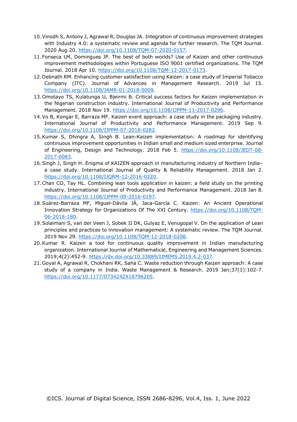- 10.Vinodh S, Antony J, Agrawal R, Douglas JA. Integration of continuous improvement strategies with Industry 4.0: a systematic review and agenda for further research. The TQM Journal. 2020 Aug 20. [https://doi.org/10.1108/TQM-07-2020-0157.](https://doi.org/10.1108/TQM-07-2020-0157)
- 11.Fonseca LM, Domingues JP. The best of both worlds? Use of Kaizen and other continuous improvement methodologies within Portuguese ISO 9001 certified organizations. The TQM Journal. 2018 Apr 10. [https://doi.org/10.1108/TQM-12-2017-0173.](https://doi.org/10.1108/TQM-12-2017-0173)
- 12.Debnath RM. Enhancing customer satisfaction using Kaizen: a case study of Imperial Tobacco Company (ITC). Journal of Advances in Management Research. 2019 Jul 15. [https://doi.org/10.1108/JAMR-01-2018-0009.](https://doi.org/10.1108/JAMR-01-2018-0009)
- 13.Omotayo TS, Kulatunga U, Bjeirmi B. Critical success factors for Kaizen implementation in the Nigerian construction industry. International Journal of Productivity and Performance Management. 2018 Nov 19. [https://doi.org/10.1108/IJPPM-11-2017-0296.](https://doi.org/10.1108/IJPPM-11-2017-0296)
- 14.Vo B, Kongar E, Barraza MF. Kaizen event approach: a case study in the packaging industry. International Journal of Productivity and Performance Management. 2019 Sep 9. [https://doi.org/10.1108/IJPPM-07-2018-0282.](https://doi.org/10.1108/IJPPM-07-2018-0282)
- 15.Kumar S, Dhingra A, Singh B. Lean-Kaizen implementation: A roadmap for identifying continuous improvement opportunities in Indian small and medium sized enterprise. Journal of Engineering, Design and Technology. 2018 Feb 5. [https://doi.org/10.1108/JEDT-08-](https://doi.org/10.1108/JEDT-08-2017-0083) [2017-0083.](https://doi.org/10.1108/JEDT-08-2017-0083)
- 16.Singh J, Singh H. Enigma of KAIZEN approach in manufacturing industry of Northern India– a case study. International Journal of Quality & Reliability Management. 2018 Jan 2. [https://doi.org/10.1108/IJQRM-12-2016-0220.](https://doi.org/10.1108/IJQRM-12-2016-0220)
- 17.Chan CO, Tay HL. Combining lean tools application in kaizen: a field study on the printing industry. International Journal of Productivity and Performance Management. 2018 Jan 8. [https://doi.org/10.1108/IJPPM-09-2016-0197.](https://doi.org/10.1108/IJPPM-09-2016-0197)
- 18.Suárez-Barraza MF, Miguel-Dávila JÁ, Jaca-García C. Kaizen: An Ancient Operational Innovation Strategy for Organizations Of The XXI Century. [https://doi.org/10.1108/TQM-](https://doi.org/10.1108/TQM-06-2018-180)[06-2018-180.](https://doi.org/10.1108/TQM-06-2018-180)
- 19.Solaimani S, van der Veen J, Sobek II DK, Gulyaz E, Venugopal V. On the application of Lean principles and practices to innovation management: A systematic review. The TQM Journal. 2019 Nov 29. [https://doi.org/10.1108/TQM-12-2018-0208.](https://doi.org/10.1108/TQM-12-2018-0208)
- 20.Kumar R. Kaizen a tool for continuous quality improvement in Indian manufacturing organization. International Journal of Mathematical, Engineering and Management Sciences. 2019;4(2):452-9. [https://dx.doi.org/10.33889/IJMEMS.2019.4.2-037.](https://dx.doi.org/10.33889/IJMEMS.2019.4.2-037)
- 21.Goyal A, Agrawal R, Chokhani RK, Saha C. Waste reduction through Kaizen approach: A case study of a company in India. Waste Management & Research. 2019 Jan;37(1):102-7. [https://doi.org/10.1177/0734242X18796205.](https://doi.org/10.1177/0734242X18796205)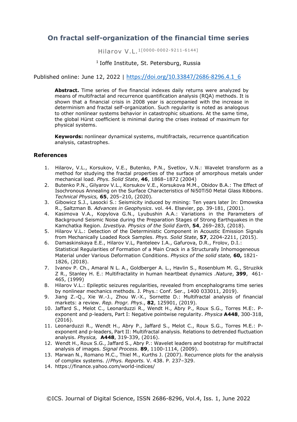## **On fractal self-organization of the financial time series**

Hilarov V.L.1[0000-0002-9211-6144]

#### <sup>1</sup> Ioffe Institute, St. Petersburg, Russia

## Published online: June 12, 2022 | [https://doi.org/10.33847/2686-8296.4.1\\_6](https://doi.org/10.33847/2686-8296.4.1_6)

**Abstract.** Time series of five financial indexes daily returns were analyzed by means of multifractal and recurrence quantification analysis (RQA) methods. It is shown that a financial crisis in 2008 year is accompanied with the increase in determinism and fractal self-organization. Such regularity is noted as analogous to other nonlinear systems behavior in catastrophic situations. At the same time, the global Hürst coefficient is minimal during the crises instead of maximum for physical systems.

**Keywords:** nonlinear dynamical systems, multifractals, recurrence quantification analysis, catastrophes.

#### **References**

- 1. Hilarov, V.L., Korsukov, V.E., Butenko, P.N., Svetlov, V.N.: Wavelet transform as a method for studying the fractal properties of the surface of amorphous metals under mechanical load. *Phys. Solid State*, **46**, 1868–1872 (2004)
- 2. Butenko P.N., Gilyarov V.L., Korsukov V.E., Korsukova M.M., Obidov B.A.: The Effect of Isochronous Annealing on the Surface Characteristics of Ni50Ti50 Metal Glass Ribbons. *Technical Physics,* **65**, 205–210, (2020)*.*
- 3. Gibowicz S.J., Lasocki S.: Seismicity induced by mining: Ten years later In: Dmowska R., Saltzman B*. Advances in Geophysics*. vol. 44. Elsevier, pp. 39-181, (2001).
- 4. Kasimova V.A., Kopylova G.N., Lyubushin A.A.: Variations in the Parameters of Background Seismic Noise during the Preparation Stages of Strong Earthquakes in the Kamchatka Region. *Izvestiya. Physics of the Solid Earth*, **54**, 269–283, (2018).
- 5. Hilarov V.L.: Detection of the Deterministic Component in Acoustic Emission Signals from Mechanically Loaded Rock Samples. *Phys. Solid State*, **57**, 2204-2211, (2015).
- 6. Damaskinskaya E.E., Hilarov V.L, [Panteleev I.A.,](https://apps.webofknowledge.com/OutboundService.do?SID=D3bEw67ypVDaiQ7DA83&mode=rrcAuthorRecordService&action=go&product=WOS&lang=en&daisIds=1250696) [Gafurova, D.R.](https://apps.webofknowledge.com/OutboundService.do?SID=D3bEw67ypVDaiQ7DA83&mode=rrcAuthorRecordService&action=go&product=WOS&lang=en&daisIds=10476387), [Frolov, D.I.](https://apps.webofknowledge.com/OutboundService.do?SID=D3bEw67ypVDaiQ7DA83&mode=rrcAuthorRecordService&action=go&product=WOS&lang=en&daisIds=32214979): Statistical Regularities of Formation of a Main Crack in a Structurally Inhomogeneous Material under Various Deformation Conditions. *Physics of the solid state,* **60,** 1821- 1826, (2018).
- 7. Ivanov P. Ch., Amaral N L. A., Goldberger A. L., Havlin S., Rosenblum M. G., Struzikk Z R., Stanley H. E.: Multifractality in human heartbeat dynamics .*Nature*, **399**, 461- 465, (1999)
- 8. Hilarov V.L.: Epileptic seizures regularities, revealed from encephalograms time series by nonlinear mechanics methods. J. Phys.: Conf. Ser., 1400 033011, 2019).
- 9. Jiang Z.-Q., Xie W.-J., Zhou W.-X., Sornette D.: Multifractal analysis of financial markets: a review. *Rep. Progr. Phys*., **82**, 125901, (2019).
- 10. Jaffard S., Melot C., Leonarduzzi R., Wendt H., Abry P., Roux S.G., Torres M.E:. Pexponent and p-leaders, Part I: Negative pointwise regularity. *Physica* **A448**, 300-318, (2016).
- 11. Leonarduzzi R., Wendt H., Abry P., Jaffard S., Melot C., Roux S.G., Torres M.E.: Pexponent and p-leaders, Part II: Multifractal analysis. Relations to detrended fluctuation analysis. *Physica,* **A448**, 319-339, (2016).
- 12. Wendt H., Roux S.G., Jaffard S., Abry P*.*: Wavelet leaders and bootstrap for multifractal analysis of images. *Signal Process*. **89**, 1100-1114, (2009).
- 13. Marwan N., Romano M.C., Thiel M., Kurths J. (2007). Recurrence plots for the analysis of complex systems. //*Phys. Reports.* V. 438. P. 237–329.
- 14. https://finance.yahoo.com/world-indices/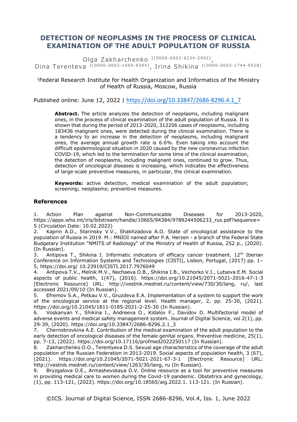# **DETECTION OF NEOPLASMS IN THE PROCESS OF CLINICAL EXAMINATION OF THE ADULT POPULATION OF RUSSIA**

Olga Zakharchenko 1<sup>[0000-0002-6234-2992]</sup>, Dina Terenteva <sup>1[0000-0003-1669-939X]</sup>, Irina Shikina <sup>1[0000-0003-1744-9528]</sup>

## <sup>1</sup>Federal Research Institute for Health Organization and Informatics of the Ministry of Health of Russia, Moscow, Russia

Published online: June 12, 2022 | [https://doi.org/10.33847/2686-8296.4.1\\_7](https://doi.org/10.33847/2686-8296.4.1_7)

**Abstract.** The article analyzes the detection of neoplasms, including malignant ones, in the process of clinical examination of the adult population of Russia. It is shown that during the period of 2013-2020, 312206 cases of neoplasms, including 183436 malignant ones, were detected during the clinical examination. There is a tendency to an increase in the detection of neoplasms, including malignant ones, the average annual growth rate is 6.6%. Even taking into account the difficult epidemiological situation in 2020 caused by the new coronavirus infection COVID-19, which led to the termination for some time of the clinical examination, the detection of neoplasms, including malignant ones, continued to grow. Thus, detection of oncological diseases is increasing, which indicates the effectiveness of large-scale preventive measures, in particular, the clinical examination.

**Keywords:** active detection, medical examination of the adult population; screening; neoplasms; preventive measures.

#### **References**

1. Action Plan against Non-Communicable Diseases for 2013-2020, https://apps.who.int/iris/bitstream/handle/10665/94384/9789244506233\_rus.pdf?sequence= 5 (Circulation Date: 10.02.2022)

2. Kaprin A.D., Starinsky V.V., Shakhzadova A.O. State of oncological assistance to the population of Russia in 2019. M.: MNIOI named after P.A. Herzen - a branch of the Federal State Budgetary Institution "NMITS of Radiology" of the Ministry of Health of Russia, 252 p., (2020). (In Russian).

3. Antipova T., Shikina I. Informatic indicators of efficacy cancer treatment.  $12<sup>th</sup>$  Iberian Conference on Information Systems and Technologies (CISTI), Lisbon, Portugal, (2017) pp. 1– 5, https://doi.org/ 10.23919/CISTI.2017.7976049

4. Antipova T.V., Melnik M.V., Nechaeva O.B., Shikina I.B., Vechorko V.I., Lutseva E.M. Social aspects of public health, 1(47), (2016). https://doi.org/10.21045/2071-5021-2016-47-1-3 [Electronic Resource] URL: http://vestnik.mednet.ru/content/view/730/30/lang, ru/, last accessed 2021/09/10 (In Russian).

5. Efremov S.A., Petkau V.V., Gruzdeva E.A. Implementation of a system to support the work of the oncological service at the regional level. Health manager, 2, pp. 25-30, (2021). https://doi.org/10.21045/1811-0185-2021-2-25-30 (In Russian).

6. Voskanyan Y., Shikina I., Andreeva O., Kidalov F., Davidov D. Multifactorial model of adverse events and medical safety management system. Journal of Digital Science, vol 2(1), pp. 29-39, (2020). https://doi.org/10.33847/2686-8296.2.1\_3

7. Chernobrovkina A.E. Contribution of the medical examination of the adult population to the early detection of oncological diseases of the female genital organs. Preventive medicine, 25(1), pp. 7-13, (2022). https://doi.org/10.17116/profmed2022250117 (In Russian).

8. Zakharchenko O.O., Terentyeva D.S. Sexual age characteristics of the coverage of the adult population of the Russian Federation in 2013-2019. Social aspects of population health, 3 (67), (2021). https://doi.org/10.21045/2071-5021-2021-67-3-1 [Electronic Resource] URL: http://vestnik.mednet.ru/content/view/1263/30/lang, ru (In Russian).

9. Bryzgalova O.E., Armashevskaya O.V. Online resource as a tool for preventive measures in providing medical care to women during the Covid-19 pandemic. Obstetrics and gynecology, (1), pp. 113-121, (2022). https://doi.org/10.18565/aig.2022.1. 113-121. (In Russian).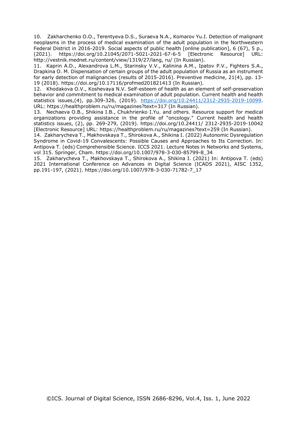10. Zakharchenko O.O., Terentyeva D.S., Suraeva N.A., Komarov Yu.I. Detection of malignant neoplasms in the process of medical examination of the adult population in the Northwestern Federal District in 2016-2019. Social aspects of public health [online publication], 6 (67), 5 p., (2021). https://doi.org/10.21045/2071-5021-2021-67-6-5 [Electronic Resource] URL: http://vestnik.mednet.ru/content/view/1319/27/lang, ru/ (In Russian).

11. Kaprin A.D., Alexandrova L.M., Starinsky V.V., Kalinina A.M., Ipatov P.V., Fighters S.A., Drapkina O. M. Dispensation of certain groups of the adult population of Russia as an instrument for early detection of malignancies (results of 2015-2016). Preventive medicine, 21(4), pp. 13- 19 (2018). https://doi.org/10.17116/profmed201821413 (In Russian).

12. Khodakova O.V., Koshevaya N.V. Self-esteem of health as an element of self-preservation behavior and commitment to medical examination of adult population. Current health and health statistics issues,(4), pp.309-326, (2019). [https://doi.org/10.24411/2312-2935-2019-10099.](https://doi.org/10.24411/2312-2935-2019-10099) URL: https://healthproblem.ru/ru/magazines?text=317 (In Russian).

13. Nechaeva O.B., Shikina I.B., Chukhrienko I.Yu. and others. Resource support for medical organizations providing assistance in the profile of "oncology." Current health and health statistics issues, (2), pp. 269-279, (2019). https://doi.org/10.24411/ 2312-2935-2019-10042 [Electronic Resource] URL: https://healthproblem.ru/ru/magazines?text=259 (In Russian).

14. Zakharycheva T., Mаkhovskaya T., Shirokova A., Shikina I. (2022) Autonomic Dysregulation Syndrome in Covid-19 Convalescents: Possible Causes and Approaches to Its Correction. In: Antipova T. (eds) Comprehensible Science. ICCS 2021. Lecture Notes in Networks and Systems, vol 315. Springer, Cham. https://doi.org/10.1007/978-3-030-85799-8\_34

15. Zakharycheva T., Mаkhovskaya T., Shirokova A., Shikina I. (2021) In: Antipova T. (eds) 2021 International Conference on Advances in Digital Science (ICADS 2021), AISC 1352, pp.191-197, (2021). https://doi.org/10.1007/978-3-030-71782-7\_17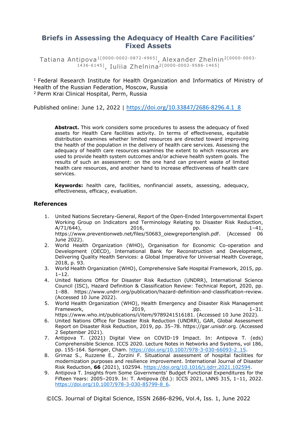# **Briefs in Assessing the Adequacy of Health Care Facilities' Fixed Assets**

Tatiana Antipova1[0000-0002-0872-4965] , Alexander Zhelnin2[0000-0003- 1436-6145] , Iuliia Zhelnina2[0000-0002-9586-1465]

 $1$  Federal Research Institute for Health Organization and Informatics of Ministry of Health of the Russian Federation, Moscow, Russia <sup>2</sup> Perm Krai Clinical Hospital, Perm, Russia

Published online: June 12, 2022 | [https://doi.org/10.33847/2686-8296.4.1\\_8](https://doi.org/10.33847/2686-8296.4.1_8)

**Abstract.** This work considers some procedures to assess the adequacy of fixed assets for Health Care facilities activity. In terms of effectiveness, equitable distribution examines whether limited resources are directed toward improving the health of the population in the delivery of health care services. Assessing the adequacy of health care resources examines the extent to which resources are used to provide health system outcomes and/or achieve health system goals. The results of such an assessment: on the one hand can prevent waste of limited health care resources, and another hand to increase effectiveness of health care services.

**Keywords:** health care, facilities, nonfinancial assets, assessing, adequacy, effectiveness, efficacy, evaluation.

## **References**

- 1. United Nations Secretary-General, Report of the Open-Ended Intergovernmental Expert Working Group on Indicators and Terminology Relating to Disaster Risk Reduction,  $A/71/644$ , 2016, pp. 1–41, https://www.preventionweb.net/files/50683\_oiewgreportenglish.pdf. (Accessed 06 June 2022).
- 2. World Health Organization (WHO), Organisation for Economic Co-operation and Development (OECD), International Bank for Reconstruction and Development, Delivering Quality Health Services: a Global Imperative for Universal Health Coverage, 2018, p. 93.
- 3. World Health Organization (WHO), Comprehensive Safe Hospital Framework, 2015, pp.  $1 - 12$ .
- 4. United Nations Office for Disaster Risk Reduction (UNDRR), International Science Council (ISC), Hazard Definition & Classification Review: Technical Report, 2020, pp. 1–88. https://www.undrr.org/publication/hazard-definition-and-classification-review. (Accessed 10 June 2022).
- 5. World Health Organization (WHO), Health Emergency and Disaster Risk Management Framework, 2019, pp. 1–31.
- https://www.who.int/publications/i/item/9789241516181. (Accessed 10 June 2022). 6. United Nations Office for Disaster Risk Reduction (UNDRR), GAR, Global Assessment
- Report on Disaster Risk Reduction, 2019, pp. 35–78. https://gar.unisdr.org. (Accessed 2 September 2021).
- 7. Antipova T. (2021) Digital View on COVID-19 Impact. In: Antipova T. (eds) Comprehensible Science. ICCS 2020. Lecture Notes in Networks and Systems, vol 186, pp. 155-164. Springer, Cham. [https://doi.org/10.1007/978-3-030-66093-2\\_15.](https://doi.org/10.1007/978-3-030-66093-2_15)
- 8. Grimaz S., Ruzzene E., Zorzini F. Situational assessment of hospital facilities for modernization purposes and resilience improvement. International Journal of Disaster Risk Reduction, **66** (2021), 102594. [https://doi.org/10.1016/j.ijdrr.2021.102594.](https://doi.org/10.1016/j.ijdrr.2021.102594)
- 9. Antipova T. Insights from Some Governments' Budget Functional Expenditures for the Fifteen Years: 2005–2019. In: T. Antipova (Ed.): ICCS 2021, LNNS 315, 1–11, 2022. [https://doi.org/10.1007/978-3-030-85799-8\\_6.](https://doi.org/10.1007/978-3-030-85799-8_6)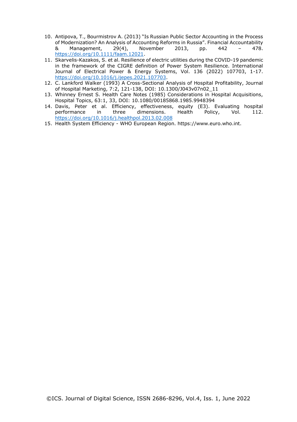- 10. Antipova, T., Bourmistrov A. (2013) "Is Russian Public Sector Accounting in the Process of Modernization? An Analysis of Accounting Reforms in Russia". Financial Accountability<br>8. Management, 29(4), November 2013, pp. 442 - 478. & Management, 29(4), November 2013, pp. 442 – 478. [https://doi.org/10.1111/faam.12021.](https://doi.org/10.1111/faam.12021)
- 11. Skarvelis-Kazakos, S. et al. Resilience of electric utilities during the COVID-19 pandemic in the framework of the CIGRE definition of Power System Resilience. International Journal of Electrical Power & Energy Systems, Vol. 136 (2022) 107703, 1-17. [https://doi.org/10.1016/j.ijepes.2021.107703.](https://doi.org/10.1016/j.ijepes.2021.107703)
- 12. C. Lankford Walker (1993) A Cross-Sectional Analysis of Hospital Profitability, Journal of Hospital Marketing, 7:2, 121-138, DOI: 10.1300/J043v07n02\_11
- 13. Whinney Ernest S. Health Care Notes (1985) Considerations in Hospital Acquisitions, Hospital Topics, 63:1, 33, DOI: 10.1080/00185868.1985.9948394
- 14. Davis, Peter et al. Efficiency, effectiveness, equity (E3). Evaluating hospital performance in three dimensions. Health Policy, Vol. 112. <https://doi.org/10.1016/j.healthpol.2013.02.008>
- 15. Health System Efficiency WHO European Region. https://www.euro.who.int.